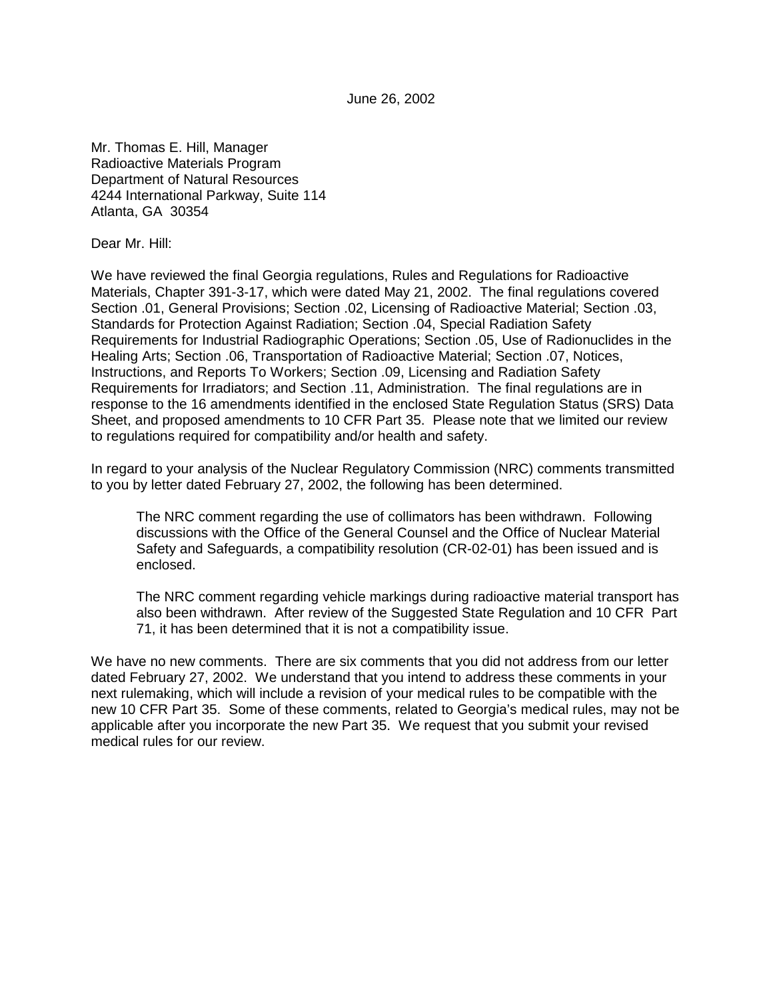June 26, 2002

Mr. Thomas E. Hill, Manager Radioactive Materials Program Department of Natural Resources 4244 International Parkway, Suite 114 Atlanta, GA 30354

Dear Mr. Hill:

We have reviewed the final Georgia regulations, Rules and Regulations for Radioactive Materials, Chapter 391-3-17, which were dated May 21, 2002. The final regulations covered Section .01, General Provisions; Section .02, Licensing of Radioactive Material; Section .03, Standards for Protection Against Radiation; Section .04, Special Radiation Safety Requirements for Industrial Radiographic Operations; Section .05, Use of Radionuclides in the Healing Arts; Section .06, Transportation of Radioactive Material; Section .07, Notices, Instructions, and Reports To Workers; Section .09, Licensing and Radiation Safety Requirements for Irradiators; and Section .11, Administration. The final regulations are in response to the 16 amendments identified in the enclosed State Regulation Status (SRS) Data Sheet, and proposed amendments to 10 CFR Part 35. Please note that we limited our review to regulations required for compatibility and/or health and safety.

In regard to your analysis of the Nuclear Regulatory Commission (NRC) comments transmitted to you by letter dated February 27, 2002, the following has been determined.

The NRC comment regarding the use of collimators has been withdrawn. Following discussions with the Office of the General Counsel and the Office of Nuclear Material Safety and Safeguards, a compatibility resolution (CR-02-01) has been issued and is enclosed.

The NRC comment regarding vehicle markings during radioactive material transport has also been withdrawn. After review of the Suggested State Regulation and 10 CFR Part 71, it has been determined that it is not a compatibility issue.

We have no new comments. There are six comments that you did not address from our letter dated February 27, 2002. We understand that you intend to address these comments in your next rulemaking, which will include a revision of your medical rules to be compatible with the new 10 CFR Part 35. Some of these comments, related to Georgia's medical rules, may not be applicable after you incorporate the new Part 35. We request that you submit your revised medical rules for our review.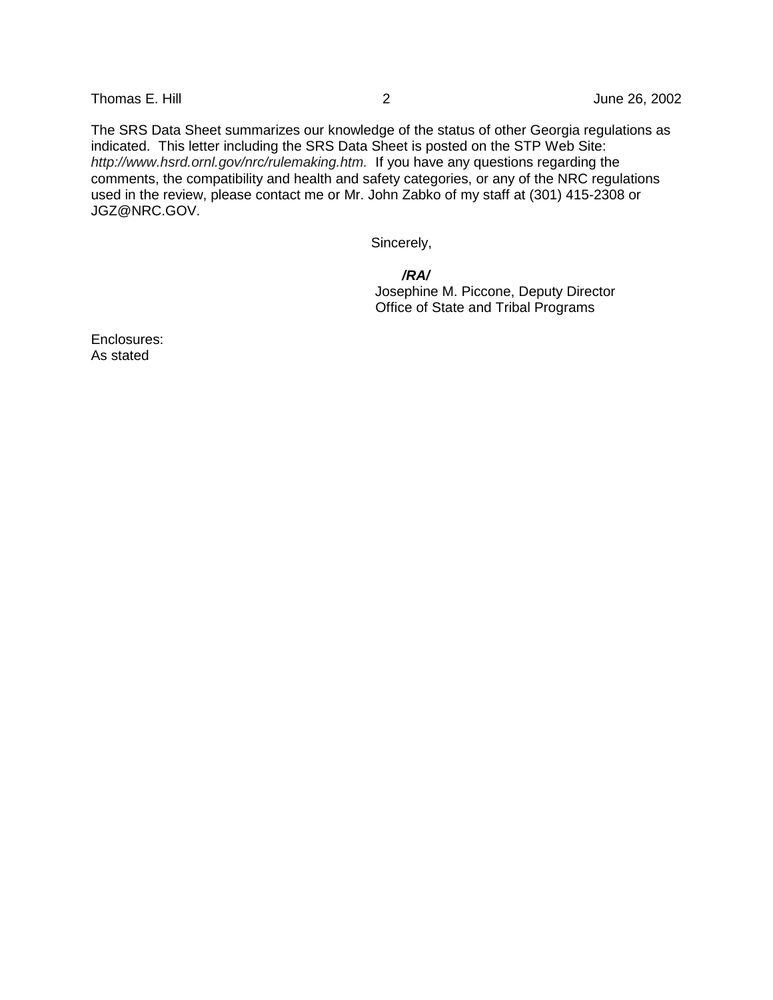Thomas E. Hill 2 2 June 26, 2002

The SRS Data Sheet summarizes our knowledge of the status of other Georgia regulations as indicated. This letter including the SRS Data Sheet is posted on the STP Web Site: http://www.hsrd.ornl.gov/nrc/rulemaking.htm. If you have any questions regarding the comments, the compatibility and health and safety categories, or any of the NRC regulations used in the review, please contact me or Mr. John Zabko of my staff at (301) 415-2308 or JGZ@NRC.GOV.

Sincerely,

 **/RA/** Josephine M. Piccone, Deputy Director Office of State and Tribal Programs

Enclosures: As stated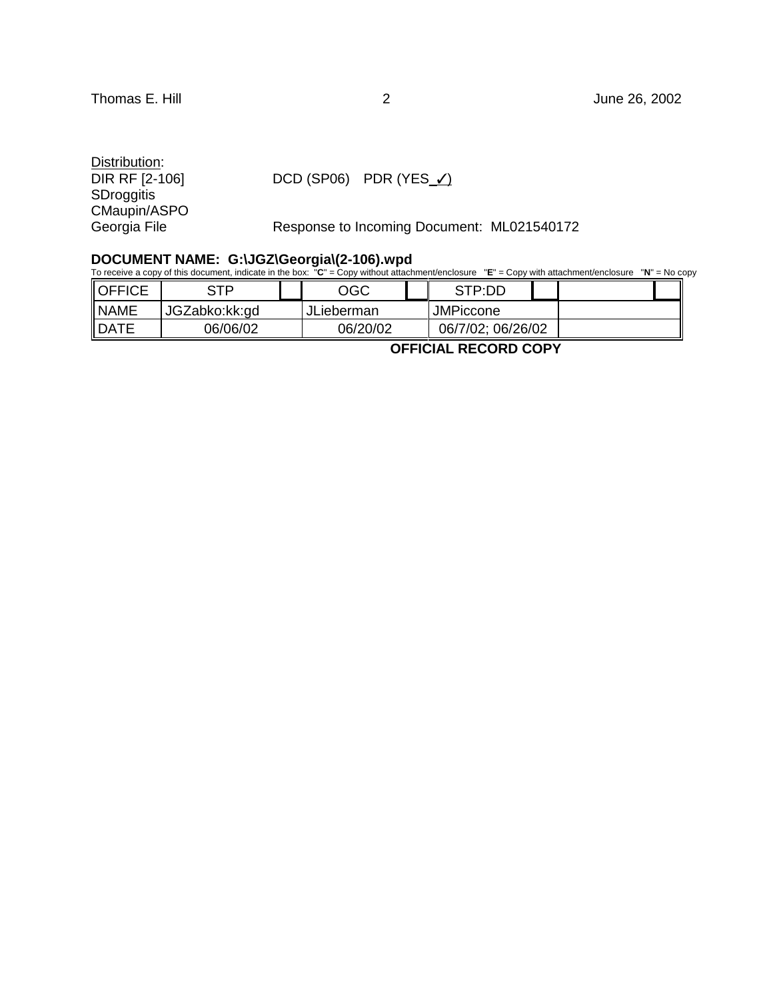Distribution:<br>DIR RF [2-106] **SDroggitis** CMaupin/ASPO

 $DCD (SP06)$  PDR (YES\_/)

Georgia File Response to Incoming Document: ML021540172

#### **DOCUMENT NAME: G:\JGZ\Georgia\(2-106).wpd**

To receive a copy of this document, indicate in the box: "**C**" = Copy without attachment/enclosure "**E**" = Copy with attachment/enclosure "**N**" = No copy

| <b>OFFICE</b> | сто           | OGC        | STP:DD            |  |
|---------------|---------------|------------|-------------------|--|
| <b>NAME</b>   | JGZabko:kk:gd | JLieberman | <b>JMPiccone</b>  |  |
| <b>IDATE</b>  | 06/06/02      | 06/20/02   | 06/7/02; 06/26/02 |  |

 **OFFICIAL RECORD COPY**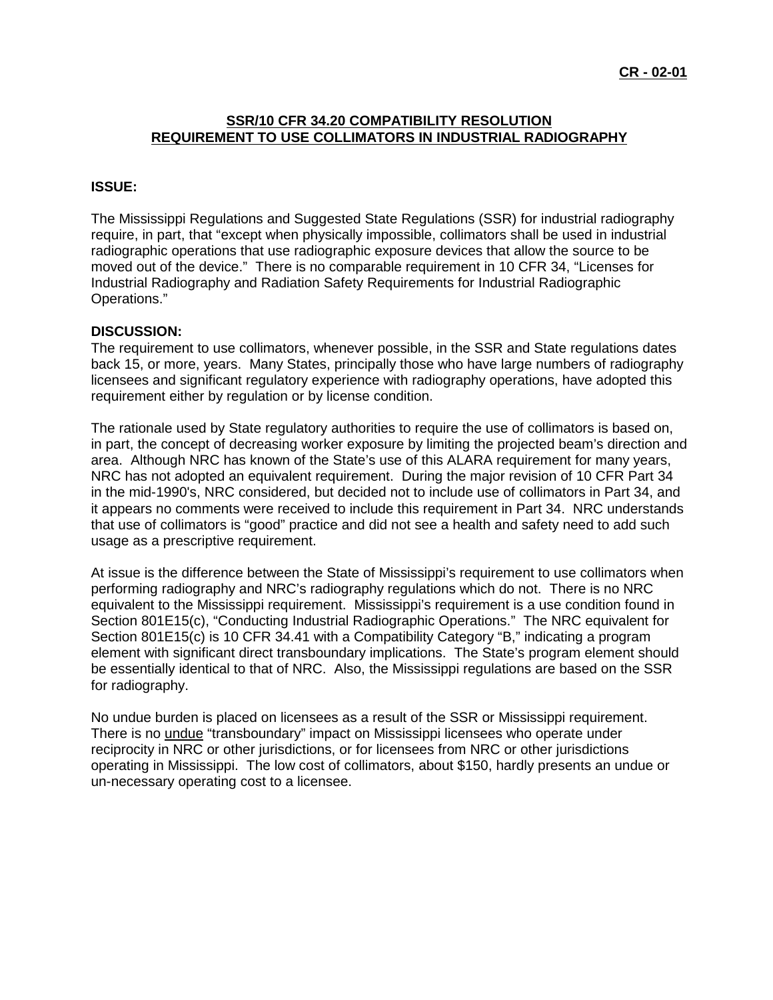# **SSR/10 CFR 34.20 COMPATIBILITY RESOLUTION REQUIREMENT TO USE COLLIMATORS IN INDUSTRIAL RADIOGRAPHY**

#### **ISSUE:**

The Mississippi Regulations and Suggested State Regulations (SSR) for industrial radiography require, in part, that "except when physically impossible, collimators shall be used in industrial radiographic operations that use radiographic exposure devices that allow the source to be moved out of the device." There is no comparable requirement in 10 CFR 34, "Licenses for Industrial Radiography and Radiation Safety Requirements for Industrial Radiographic Operations."

### **DISCUSSION:**

The requirement to use collimators, whenever possible, in the SSR and State regulations dates back 15, or more, years. Many States, principally those who have large numbers of radiography licensees and significant regulatory experience with radiography operations, have adopted this requirement either by regulation or by license condition.

The rationale used by State regulatory authorities to require the use of collimators is based on, in part, the concept of decreasing worker exposure by limiting the projected beam's direction and area. Although NRC has known of the State's use of this ALARA requirement for many years, NRC has not adopted an equivalent requirement. During the major revision of 10 CFR Part 34 in the mid-1990's, NRC considered, but decided not to include use of collimators in Part 34, and it appears no comments were received to include this requirement in Part 34. NRC understands that use of collimators is "good" practice and did not see a health and safety need to add such usage as a prescriptive requirement.

At issue is the difference between the State of Mississippi's requirement to use collimators when performing radiography and NRC's radiography regulations which do not. There is no NRC equivalent to the Mississippi requirement. Mississippi's requirement is a use condition found in Section 801E15(c), "Conducting Industrial Radiographic Operations." The NRC equivalent for Section 801E15(c) is 10 CFR 34.41 with a Compatibility Category "B," indicating a program element with significant direct transboundary implications. The State's program element should be essentially identical to that of NRC. Also, the Mississippi regulations are based on the SSR for radiography.

No undue burden is placed on licensees as a result of the SSR or Mississippi requirement. There is no undue "transboundary" impact on Mississippi licensees who operate under reciprocity in NRC or other jurisdictions, or for licensees from NRC or other jurisdictions operating in Mississippi. The low cost of collimators, about \$150, hardly presents an undue or un-necessary operating cost to a licensee.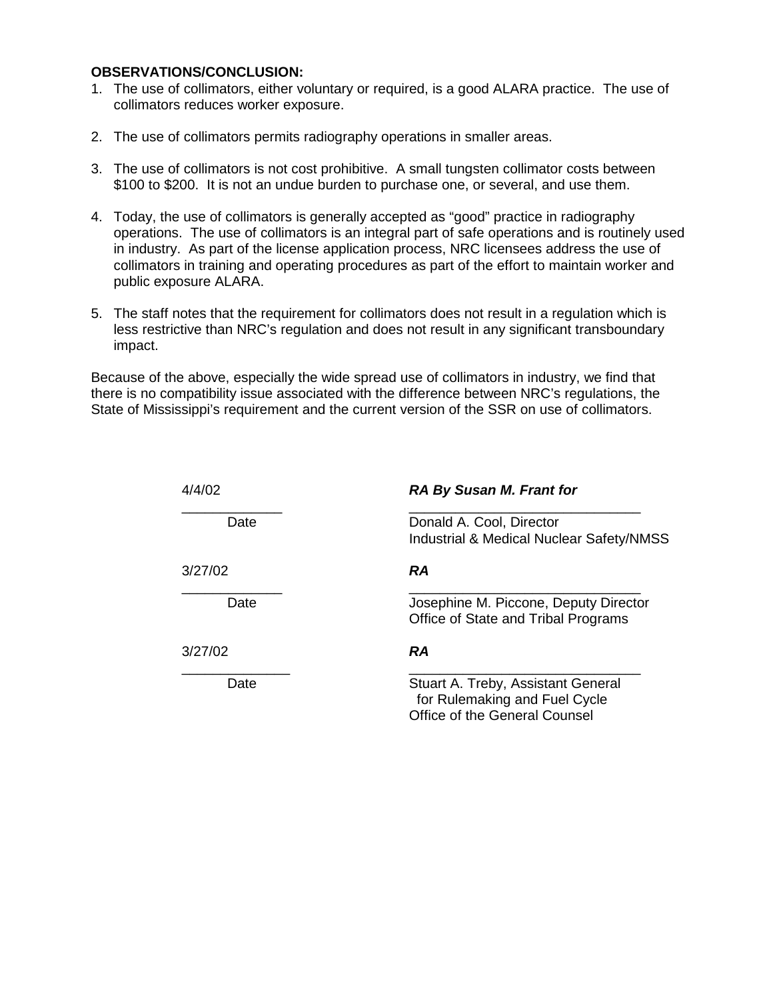#### **OBSERVATIONS/CONCLUSION:**

- 1. The use of collimators, either voluntary or required, is a good ALARA practice. The use of collimators reduces worker exposure.
- 2. The use of collimators permits radiography operations in smaller areas.
- 3. The use of collimators is not cost prohibitive. A small tungsten collimator costs between \$100 to \$200. It is not an undue burden to purchase one, or several, and use them.
- 4. Today, the use of collimators is generally accepted as "good" practice in radiography operations. The use of collimators is an integral part of safe operations and is routinely used in industry. As part of the license application process, NRC licensees address the use of collimators in training and operating procedures as part of the effort to maintain worker and public exposure ALARA.
- 5. The staff notes that the requirement for collimators does not result in a regulation which is less restrictive than NRC's regulation and does not result in any significant transboundary impact.

Because of the above, especially the wide spread use of collimators in industry, we find that there is no compatibility issue associated with the difference between NRC's regulations, the State of Mississippi's requirement and the current version of the SSR on use of collimators.

| 4/4/02  | <b>RA By Susan M. Frant for</b>                                                 |  |  |  |
|---------|---------------------------------------------------------------------------------|--|--|--|
| Date    | Donald A. Cool, Director<br><b>Industrial &amp; Medical Nuclear Safety/NMSS</b> |  |  |  |
| 3/27/02 | <b>RA</b>                                                                       |  |  |  |
| Date    | Josephine M. Piccone, Deputy Director<br>Office of State and Tribal Programs    |  |  |  |
| 3/27/02 | RA                                                                              |  |  |  |
| Date    | Stuart A. Treby, Assistant General<br>for Rulemaking and Fuel Cycle             |  |  |  |

Office of the General Counsel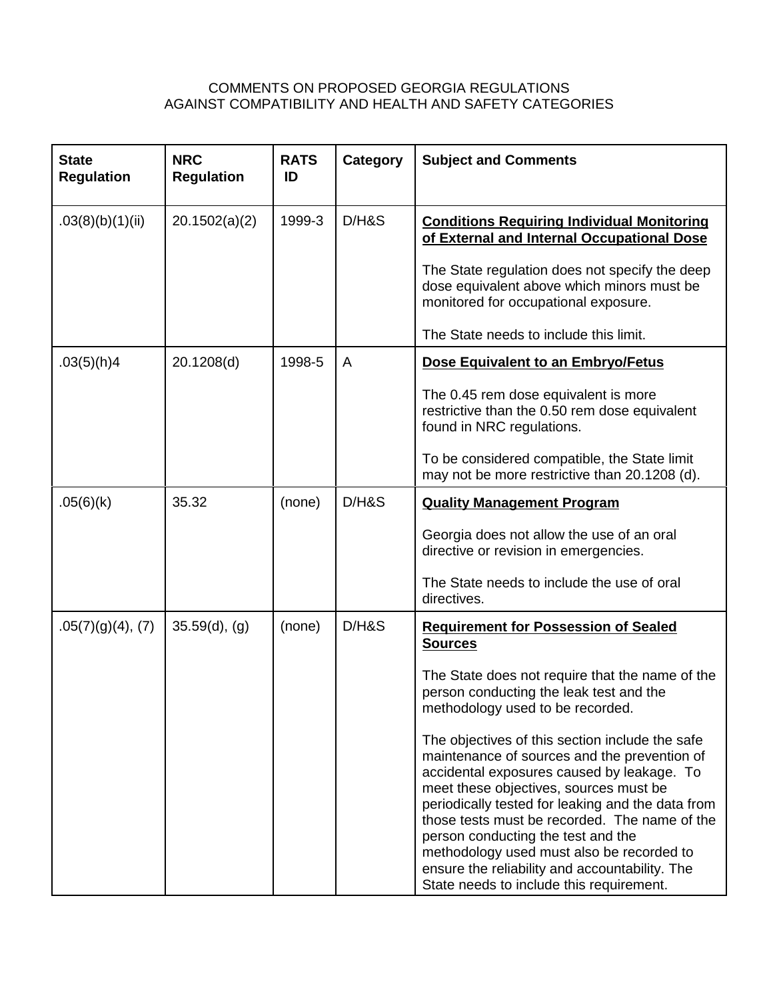# COMMENTS ON PROPOSED GEORGIA REGULATIONS AGAINST COMPATIBILITY AND HEALTH AND SAFETY CATEGORIES

| <b>State</b><br><b>Regulation</b> | <b>NRC</b><br><b>Regulation</b> | <b>RATS</b><br>ID | Category | <b>Subject and Comments</b>                                                                                                                                                                                                                                                                                                                                                                                                                                                                                                                                                                                                                                                       |  |  |
|-----------------------------------|---------------------------------|-------------------|----------|-----------------------------------------------------------------------------------------------------------------------------------------------------------------------------------------------------------------------------------------------------------------------------------------------------------------------------------------------------------------------------------------------------------------------------------------------------------------------------------------------------------------------------------------------------------------------------------------------------------------------------------------------------------------------------------|--|--|
| .03(8)(b)(1)(ii)                  | 20.1502(a)(2)                   | 1999-3            | D/HS     | <b>Conditions Requiring Individual Monitoring</b><br>of External and Internal Occupational Dose<br>The State regulation does not specify the deep<br>dose equivalent above which minors must be<br>monitored for occupational exposure.<br>The State needs to include this limit.                                                                                                                                                                                                                                                                                                                                                                                                 |  |  |
| .03(5)(h)4                        | 20.1208(d)                      | 1998-5            | A        | Dose Equivalent to an Embryo/Fetus<br>The 0.45 rem dose equivalent is more<br>restrictive than the 0.50 rem dose equivalent<br>found in NRC regulations.<br>To be considered compatible, the State limit<br>may not be more restrictive than 20.1208 (d).                                                                                                                                                                                                                                                                                                                                                                                                                         |  |  |
| .05(6)(k)                         | 35.32                           | (none)            | D/HS     | <b>Quality Management Program</b><br>Georgia does not allow the use of an oral<br>directive or revision in emergencies.<br>The State needs to include the use of oral<br>directives.                                                                                                                                                                                                                                                                                                                                                                                                                                                                                              |  |  |
| $.05(7)(g)(4)$ , (7)              | 35.59(d), (g)                   | (none)            | D/HS     | <b>Requirement for Possession of Sealed</b><br><b>Sources</b><br>The State does not require that the name of the<br>person conducting the leak test and the<br>methodology used to be recorded.<br>The objectives of this section include the safe<br>maintenance of sources and the prevention of<br>accidental exposures caused by leakage. To<br>meet these objectives, sources must be<br>periodically tested for leaking and the data from<br>those tests must be recorded. The name of the<br>person conducting the test and the<br>methodology used must also be recorded to<br>ensure the reliability and accountability. The<br>State needs to include this requirement. |  |  |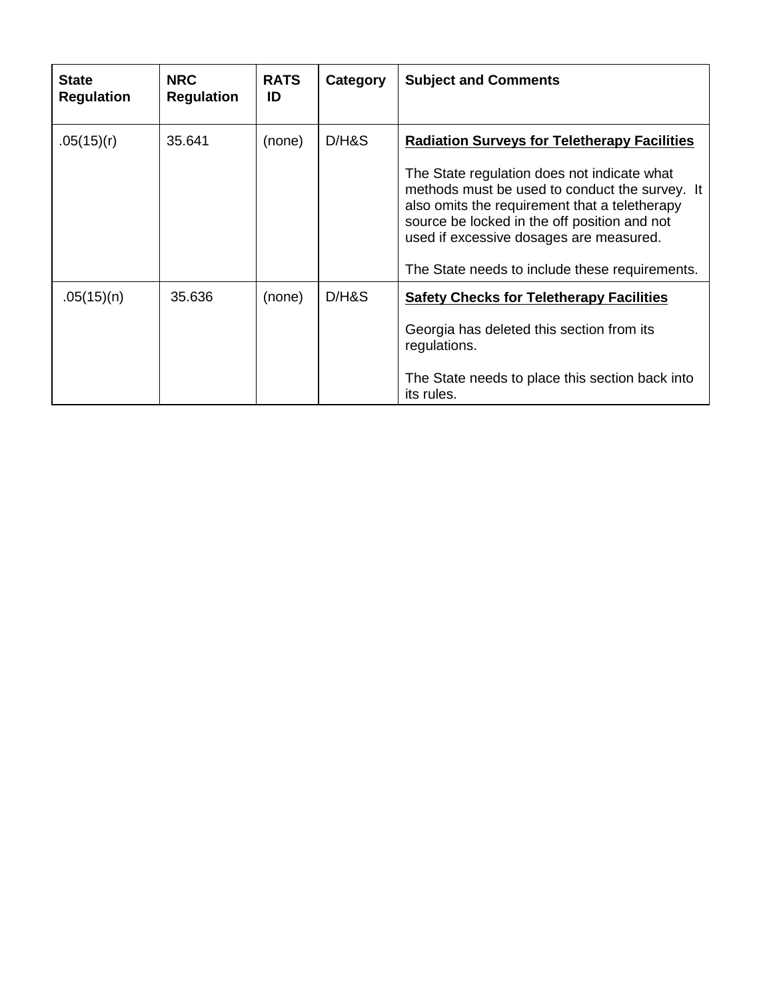| <b>State</b><br><b>Regulation</b> | <b>NRC</b><br><b>Regulation</b> | <b>RATS</b><br>ID | Category | <b>Subject and Comments</b>                                                                                                                                                                                                                                                                                                                        |
|-----------------------------------|---------------------------------|-------------------|----------|----------------------------------------------------------------------------------------------------------------------------------------------------------------------------------------------------------------------------------------------------------------------------------------------------------------------------------------------------|
| .05(15)(r)                        | 35.641                          | (none)            | D/HS     | <b>Radiation Surveys for Teletherapy Facilities</b><br>The State regulation does not indicate what<br>methods must be used to conduct the survey. It<br>also omits the requirement that a teletherapy<br>source be locked in the off position and not<br>used if excessive dosages are measured.<br>The State needs to include these requirements. |
| .05(15)(n)                        | 35.636                          | (none)            | D/HS     | <b>Safety Checks for Teletherapy Facilities</b><br>Georgia has deleted this section from its<br>regulations.<br>The State needs to place this section back into<br>its rules.                                                                                                                                                                      |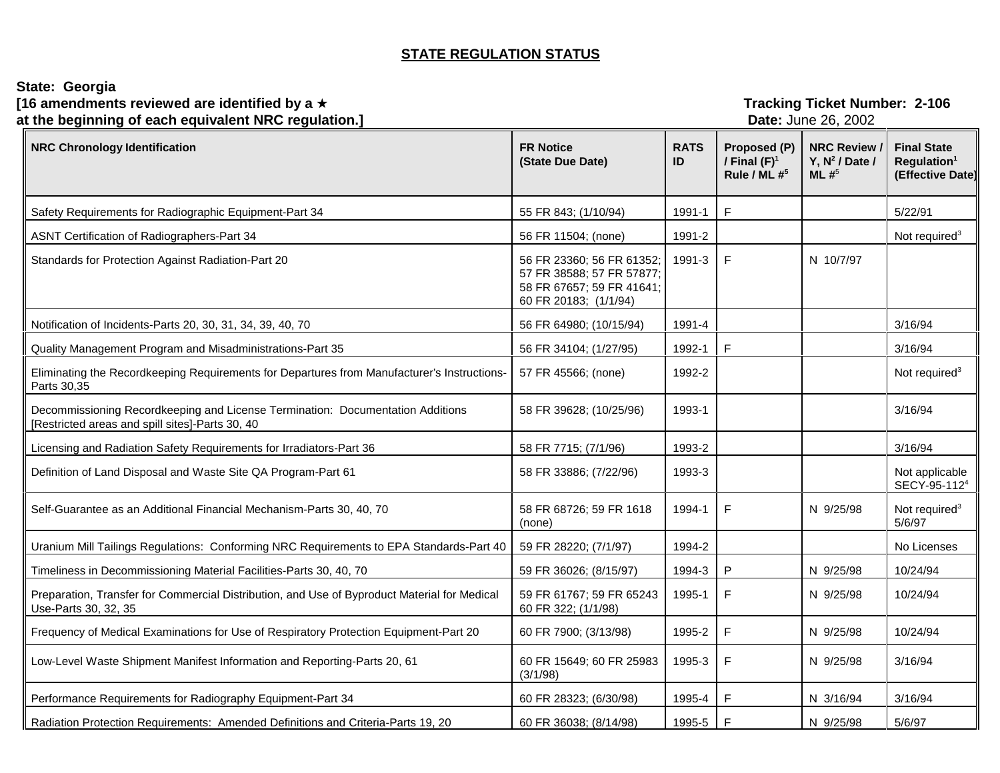# **STATE REGULATION STATUS**

| State: Georgia<br>[16 amendments reviewed are identified by a $\star$<br>at the beginning of each equivalent NRC regulation.]     |                                                                                                              | <b>Tracking Ticket Number: 2-106</b><br>Date: June 26, 2002 |                                                 |                                                   |                                                                   |
|-----------------------------------------------------------------------------------------------------------------------------------|--------------------------------------------------------------------------------------------------------------|-------------------------------------------------------------|-------------------------------------------------|---------------------------------------------------|-------------------------------------------------------------------|
| <b>NRC Chronology Identification</b>                                                                                              | <b>FR Notice</b><br>(State Due Date)                                                                         | <b>RATS</b><br>ID                                           | Proposed (P)<br>/ Final $(F)^1$<br>Rule / ML #5 | <b>NRC Review</b><br>Y, $N^2$ / Date /<br>ML $#5$ | <b>Final State</b><br>Regulation <sup>1</sup><br>(Effective Date) |
| Safety Requirements for Radiographic Equipment-Part 34                                                                            | 55 FR 843; (1/10/94)                                                                                         | 1991-1                                                      | F                                               |                                                   | 5/22/91                                                           |
| ASNT Certification of Radiographers-Part 34                                                                                       | 56 FR 11504; (none)                                                                                          | 1991-2                                                      |                                                 |                                                   | Not required <sup>3</sup>                                         |
| Standards for Protection Against Radiation-Part 20                                                                                | 56 FR 23360; 56 FR 61352;<br>57 FR 38588; 57 FR 57877;<br>58 FR 67657; 59 FR 41641;<br>60 FR 20183; (1/1/94) | 1991-3                                                      | F                                               | N 10/7/97                                         |                                                                   |
| Notification of Incidents-Parts 20, 30, 31, 34, 39, 40, 70                                                                        | 56 FR 64980; (10/15/94)                                                                                      | 1991-4                                                      |                                                 |                                                   | 3/16/94                                                           |
| Quality Management Program and Misadministrations-Part 35                                                                         | 56 FR 34104; (1/27/95)                                                                                       | 1992-1                                                      | E                                               |                                                   | 3/16/94                                                           |
| Eliminating the Recordkeeping Requirements for Departures from Manufacturer's Instructions-<br>Parts 30,35                        | 57 FR 45566; (none)                                                                                          | 1992-2                                                      |                                                 |                                                   | Not required <sup>3</sup>                                         |
| Decommissioning Recordkeeping and License Termination: Documentation Additions<br>[Restricted areas and spill sites]-Parts 30, 40 | 58 FR 39628; (10/25/96)                                                                                      | 1993-1                                                      |                                                 |                                                   | 3/16/94                                                           |
| Licensing and Radiation Safety Requirements for Irradiators-Part 36                                                               | 58 FR 7715; (7/1/96)                                                                                         | 1993-2                                                      |                                                 |                                                   | 3/16/94                                                           |
| Definition of Land Disposal and Waste Site QA Program-Part 61                                                                     | 58 FR 33886; (7/22/96)                                                                                       | 1993-3                                                      |                                                 |                                                   | Not applicable<br>SECY-95-112 <sup>4</sup>                        |
| Self-Guarantee as an Additional Financial Mechanism-Parts 30, 40, 70                                                              | 58 FR 68726; 59 FR 1618<br>(none)                                                                            | 1994-1                                                      | F                                               | N 9/25/98                                         | Not required <sup>3</sup><br>5/6/97                               |
| Uranium Mill Tailings Regulations: Conforming NRC Requirements to EPA Standards-Part 40                                           | 59 FR 28220; (7/1/97)                                                                                        | 1994-2                                                      |                                                 |                                                   | No Licenses                                                       |
| Timeliness in Decommissioning Material Facilities-Parts 30, 40, 70                                                                | 59 FR 36026; (8/15/97)                                                                                       | 1994-3                                                      | $\mathsf{P}$                                    | N 9/25/98                                         | 10/24/94                                                          |
| Preparation, Transfer for Commercial Distribution, and Use of Byproduct Material for Medical<br>Use-Parts 30, 32, 35              | 59 FR 61767; 59 FR 65243<br>60 FR 322; (1/1/98)                                                              | 1995-1                                                      | F                                               | N 9/25/98                                         | 10/24/94                                                          |
| Frequency of Medical Examinations for Use of Respiratory Protection Equipment-Part 20                                             | 60 FR 7900; (3/13/98)                                                                                        | 1995-2                                                      | $\mathsf F$                                     | N 9/25/98                                         | 10/24/94                                                          |
| Low-Level Waste Shipment Manifest Information and Reporting-Parts 20, 61                                                          | 60 FR 15649; 60 FR 25983<br>(3/1/98)                                                                         | 1995-3                                                      | $\mathsf F$                                     | N 9/25/98                                         | 3/16/94                                                           |
| Performance Requirements for Radiography Equipment-Part 34                                                                        | 60 FR 28323; (6/30/98)                                                                                       | 1995-4                                                      | F                                               | N 3/16/94                                         | 3/16/94                                                           |
| Radiation Protection Requirements: Amended Definitions and Criteria-Parts 19, 20                                                  | 60 FR 36038; (8/14/98)                                                                                       | 1995-5                                                      | $\mathsf{F}$                                    | N 9/25/98                                         | 5/6/97                                                            |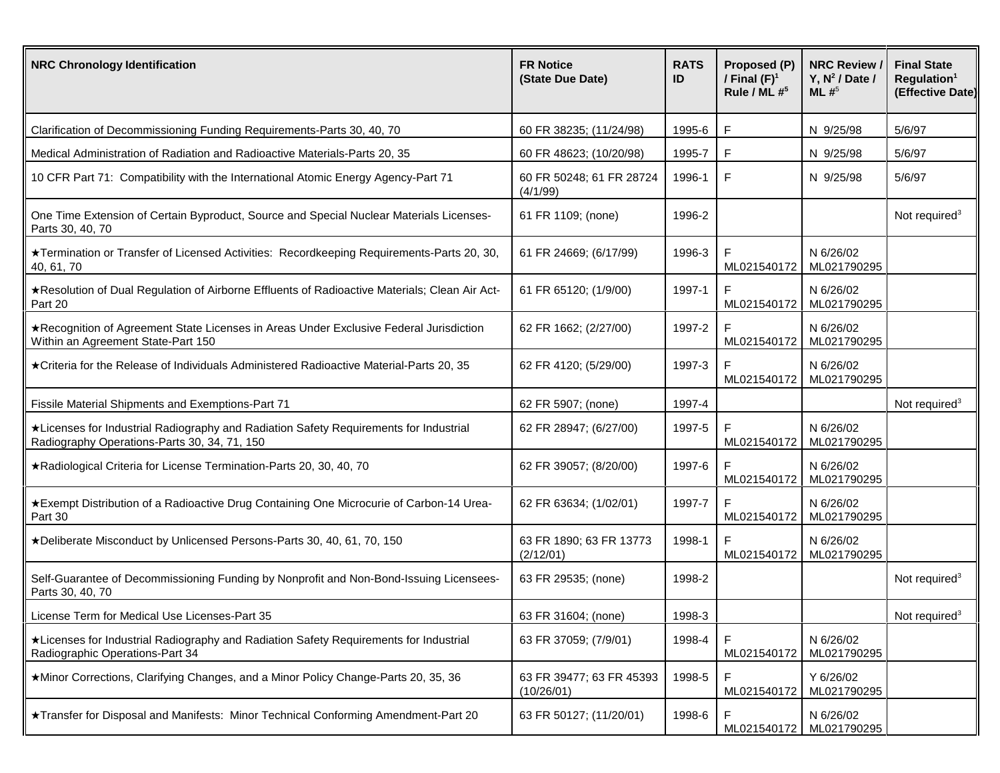| <b>NRC Chronology Identification</b>                                                                                                  | <b>FR Notice</b><br>(State Due Date)   | <b>RATS</b><br>ID | Proposed (P)<br>/ Final $(F)^1$<br>Rule / ML $#^5$ | <b>NRC Review</b><br>Y, $N^2$ / Date /<br>ML $#^5$ | <b>Final State</b><br>Regulation <sup>1</sup><br>(Effective Date) |
|---------------------------------------------------------------------------------------------------------------------------------------|----------------------------------------|-------------------|----------------------------------------------------|----------------------------------------------------|-------------------------------------------------------------------|
| Clarification of Decommissioning Funding Requirements-Parts 30, 40, 70                                                                | 60 FR 38235; (11/24/98)                | 1995-6            | F                                                  | N 9/25/98                                          | 5/6/97                                                            |
| Medical Administration of Radiation and Radioactive Materials-Parts 20, 35                                                            | 60 FR 48623; (10/20/98)                | 1995-7            | F                                                  | N 9/25/98                                          | 5/6/97                                                            |
| 10 CFR Part 71: Compatibility with the International Atomic Energy Agency-Part 71                                                     | 60 FR 50248; 61 FR 28724<br>(4/1/99)   | 1996-1            | $\mathsf F$                                        | N 9/25/98                                          | 5/6/97                                                            |
| One Time Extension of Certain Byproduct, Source and Special Nuclear Materials Licenses-<br>Parts 30, 40, 70                           | 61 FR 1109; (none)                     | 1996-2            |                                                    |                                                    | Not required <sup>3</sup>                                         |
| ★Termination or Transfer of Licensed Activities: Recordkeeping Requirements-Parts 20, 30,<br>40, 61, 70                               | 61 FR 24669; (6/17/99)                 | 1996-3            | F<br>ML021540172                                   | N 6/26/02<br>ML021790295                           |                                                                   |
| ★Resolution of Dual Regulation of Airborne Effluents of Radioactive Materials; Clean Air Act-<br>Part 20                              | 61 FR 65120; (1/9/00)                  | 1997-1            | F<br>ML021540172                                   | N 6/26/02<br>ML021790295                           |                                                                   |
| ★Recognition of Agreement State Licenses in Areas Under Exclusive Federal Jurisdiction<br>Within an Agreement State-Part 150          | 62 FR 1662; (2/27/00)                  | 1997-2            | F<br>ML021540172                                   | N 6/26/02<br>ML021790295                           |                                                                   |
| ★Criteria for the Release of Individuals Administered Radioactive Material-Parts 20, 35                                               | 62 FR 4120; (5/29/00)                  | 1997-3            | F<br>ML021540172                                   | N 6/26/02<br>ML021790295                           |                                                                   |
| Fissile Material Shipments and Exemptions-Part 71                                                                                     | 62 FR 5907; (none)                     | 1997-4            |                                                    |                                                    | Not required <sup>3</sup>                                         |
| *Licenses for Industrial Radiography and Radiation Safety Requirements for Industrial<br>Radiography Operations-Parts 30, 34, 71, 150 | 62 FR 28947; (6/27/00)                 | 1997-5            | F<br>ML021540172                                   | N 6/26/02<br>ML021790295                           |                                                                   |
| *Radiological Criteria for License Termination-Parts 20, 30, 40, 70                                                                   | 62 FR 39057; (8/20/00)                 | 1997-6            | F<br>ML021540172                                   | N 6/26/02<br>ML021790295                           |                                                                   |
| *Exempt Distribution of a Radioactive Drug Containing One Microcurie of Carbon-14 Urea-<br>Part 30                                    | 62 FR 63634; (1/02/01)                 | 1997-7            | $\mathsf F$<br>ML021540172                         | N 6/26/02<br>ML021790295                           |                                                                   |
| *Deliberate Misconduct by Unlicensed Persons-Parts 30, 40, 61, 70, 150                                                                | 63 FR 1890; 63 FR 13773<br>(2/12/01)   | 1998-1            | F<br>ML021540172                                   | N 6/26/02<br>ML021790295                           |                                                                   |
| Self-Guarantee of Decommissioning Funding by Nonprofit and Non-Bond-Issuing Licensees-<br>Parts 30, 40, 70                            | 63 FR 29535; (none)                    | 1998-2            |                                                    |                                                    | Not required <sup>3</sup>                                         |
| License Term for Medical Use Licenses-Part 35                                                                                         | 63 FR 31604; (none)                    | 1998-3            |                                                    |                                                    | Not required <sup>3</sup>                                         |
| *Licenses for Industrial Radiography and Radiation Safety Requirements for Industrial<br>Radiographic Operations-Part 34              | 63 FR 37059; (7/9/01)                  | 1998-4            | F<br>ML021540172                                   | N 6/26/02<br>ML021790295                           |                                                                   |
| ★Minor Corrections, Clarifying Changes, and a Minor Policy Change-Parts 20, 35, 36                                                    | 63 FR 39477; 63 FR 45393<br>(10/26/01) | 1998-5            | F<br>ML021540172                                   | Y 6/26/02<br>ML021790295                           |                                                                   |
| ★Transfer for Disposal and Manifests: Minor Technical Conforming Amendment-Part 20                                                    | 63 FR 50127; (11/20/01)                | 1998-6            | ML021540172                                        | N 6/26/02<br>ML021790295                           |                                                                   |